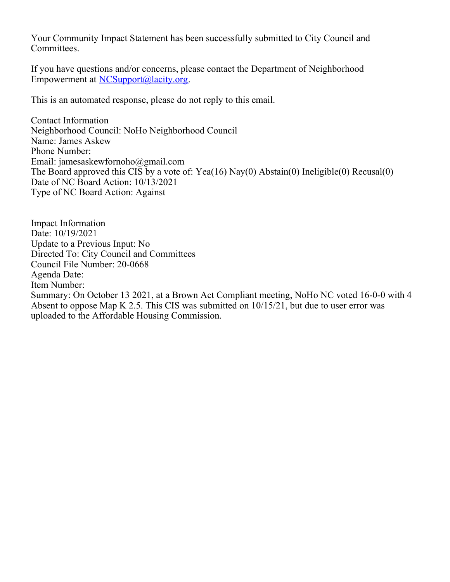Your Community Impact Statement has been successfully submitted to City Council and Committees.

If you have questions and/or concerns, please contact the Department of Neighborhood Empowerment at [NCSupport@lacity.org](mailto:NCSupport@lacity.org).

This is an automated response, please do not reply to this email.

Contact Information Neighborhood Council: NoHo Neighborhood Council Name: James Askew Phone Number: Email: jamesaskewfornoho@gmail.com The Board approved this CIS by a vote of: Yea(16) Nay(0) Abstain(0) Ineligible(0) Recusal(0) Date of NC Board Action: 10/13/2021 Type of NC Board Action: Against

Impact Information Date: 10/19/2021 Update to a Previous Input: No Directed To: City Council and Committees Council File Number: 20-0668 Agenda Date: Item Number: Summary: On October 13 2021, at a Brown Act Compliant meeting, NoHo NC voted 16-0-0 with 4 Absent to oppose Map K 2.5. This CIS was submitted on 10/15/21, but due to user error was uploaded to the Affordable Housing Commission.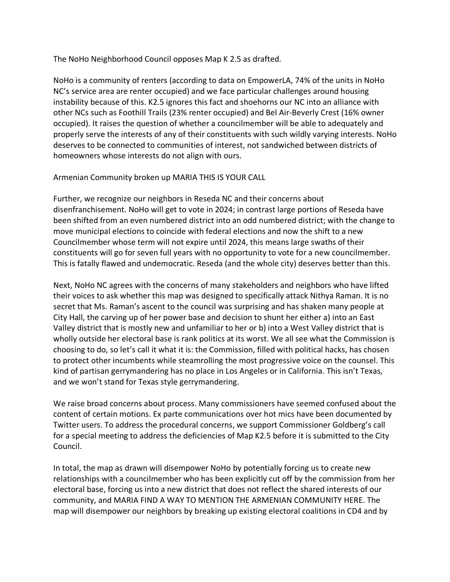The NoHo Neighborhood Council opposes Map K 2.5 as drafted.

NoHo is a community of renters (according to data on EmpowerLA, 74% of the units in NoHo NC's service area are renter occupied) and we face particular challenges around housing instability because of this. K2.5 ignores this fact and shoehorns our NC into an alliance with other NCs such as Foothill Trails (23% renter occupied) and Bel Air-Beverly Crest (16% owner occupied). It raises the question of whether a councilmember will be able to adequately and properly serve the interests of any of their constituents with such wildly varying interests. NoHo deserves to be connected to communities of interest, not sandwiched between districts of homeowners whose interests do not align with ours.

Armenian Community broken up MARIA THIS IS YOUR CALL

Further, we recognize our neighbors in Reseda NC and their concerns about disenfranchisement. NoHo will get to vote in 2024; in contrast large portions of Reseda have been shifted from an even numbered district into an odd numbered district; with the change to move municipal elections to coincide with federal elections and now the shift to a new Councilmember whose term will not expire until 2024, this means large swaths of their constituents will go for seven full years with no opportunity to vote for a new councilmember. This is fatally flawed and undemocratic. Reseda (and the whole city) deserves better than this.

Next, NoHo NC agrees with the concerns of many stakeholders and neighbors who have lifted their voices to ask whether this map was designed to specifically attack Nithya Raman. It is no secret that Ms. Raman's ascent to the council was surprising and has shaken many people at City Hall, the carving up of her power base and decision to shunt her either a) into an East Valley district that is mostly new and unfamiliar to her or b) into a West Valley district that is wholly outside her electoral base is rank politics at its worst. We all see what the Commission is choosing to do, so let's call it what it is: the Commission, filled with political hacks, has chosen to protect other incumbents while steamrolling the most progressive voice on the counsel. This kind of partisan gerrymandering has no place in Los Angeles or in California. This isn't Texas, and we won't stand for Texas style gerrymandering.

We raise broad concerns about process. Many commissioners have seemed confused about the content of certain motions. Ex parte communications over hot mics have been documented by Twitter users. To address the procedural concerns, we support Commissioner Goldberg's call for a special meeting to address the deficiencies of Map K2.5 before it is submitted to the City Council.

In total, the map as drawn will disempower NoHo by potentially forcing us to create new relationships with a councilmember who has been explicitly cut off by the commission from her electoral base, forcing us into a new district that does not reflect the shared interests of our community, and MARIA FIND A WAY TO MENTION THE ARMENIAN COMMUNITY HERE. The map will disempower our neighbors by breaking up existing electoral coalitions in CD4 and by